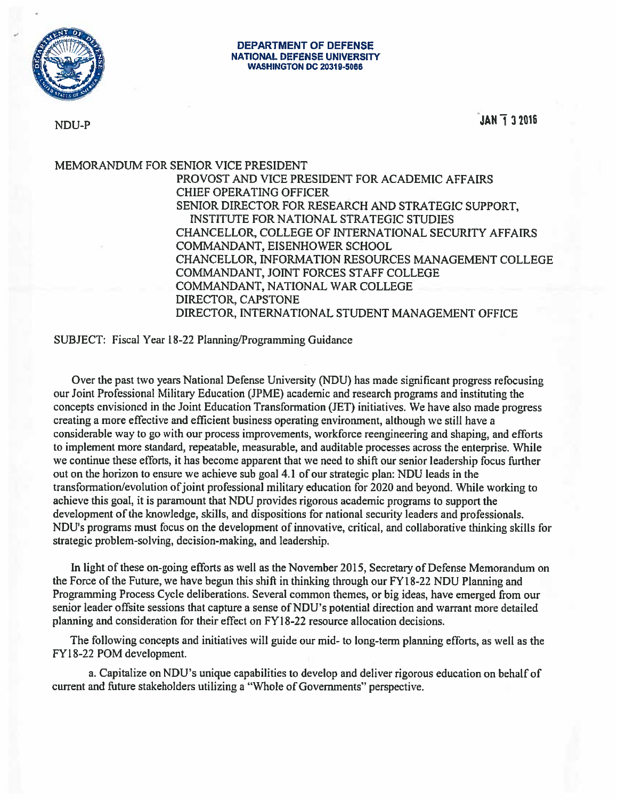

NDU-P JAN 1 3 2016

MEMORANDUM FOR SENIOR VICE PRESIDENT PROVOST AND VICE PRESIDENT FOR ACADEMIC AFFAIRS CHIEF OPERATING OFFICER SENIOR DIRECTOR FOR RESEARCH AND STRATEGIC SUPPORT, INSTITUTE FOR NATIONAL STRATEGIC STUDIES CHANCELLOR, COLLEGE OF INTERNATIONAL SECURITY AFFAIRS COMMANDANT, EISENHOWER SCHOOL CHANCELLOR, INFORMATION RESOURCES MANAGEMENT COLLEGE COMMANDANT, JOINT FORCES STAFF COLLEGE COMMANDANT, NATIONAL WAR COLLEGE DIRECTOR, CAPSTONE DIRECTOR, INTERNATIONAL STUDENT MANAGEMENT OFFICE

SUBJECT: Fiscal Year 18-22 Planning/Programming Guidance

Over the past two years National Defense University (NDU) has made significant progress refocusing our Joint Professional Military Education (JPME) academic and research programs and instituting the concepts envisioned in the Joint Education Transformation (JET) initiatives. We have also made progress creating a more effective and efficient business operating environment, although we still have a considerable way to go with our process improvements, workiorce reengineering and shaping, and efforts to implement more standard, repeatable, measurable, and auditable processes across the enterprise. While we continue these efforts, it has become apparent that we need to shift our senior leadership focus further out on the horizon to ensure we achieve sub goal 4.1 of our strategic plan: NDU leads in the transformation/evolution ofjoint professional military education for 2020 and beyond. While working to achieve this goal. it is paramount that NDU provides rigorous academic programs to support the development of the knowledge, skills, and dispositions for national security leaders and professionals. NDU's programs must focus on the development of innovative. critical, and collaborative ihinking skills for strategic problem-solving, decision-making, and leadership.

In light of these on-going efforts as well as the November 2015, Secretary of Defense Memorandum on the Force of the Future, we have begun this shift in thinking through our FYi 8-22 NDU Planning and Programming Process Cycle deliberations. Several common themes, or big ideas, have emerged from our senior leader offsite sessions that capture a sense of NDU's potential direction and warrant more detailed planning and consideration for their effect on FY18-22 resource allocation decisions.

The following concepts and initiatives will guide our mid- to long-term planning efforts, as well as the FYI8-22 POM development.

a. Capitalize on NDU's unique capabilities to develop and deliver rigorous education on behalf of current and future stakeholders utilizing a "Whole of Governments" perspective.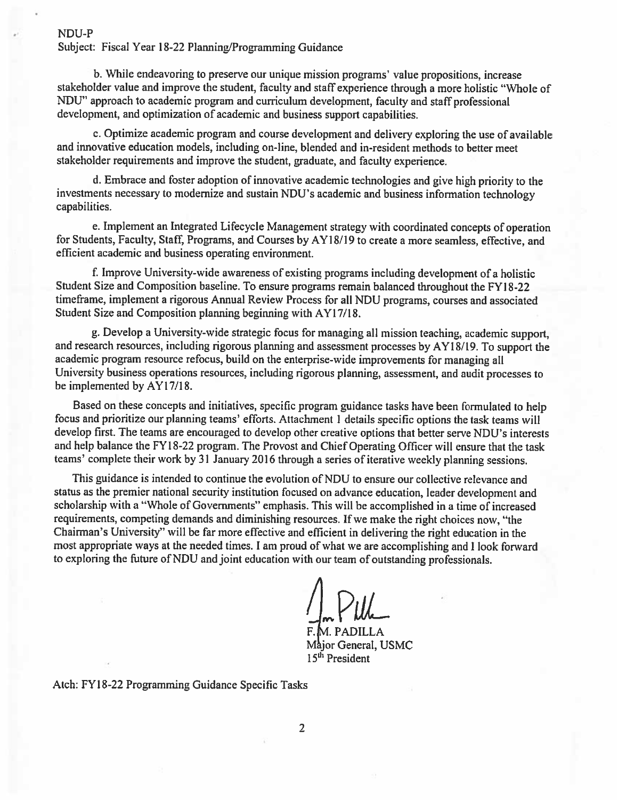## NDU-P

Subject: Fiscal Year 18-22 Planning/Programming Guidance

b. While endeavoring to preserve our unique mission programs' value propositions, increase stakeholder value and improve the student, faculty and staff experience through <sup>a</sup> more holistic "Whole of NDU" approach to academic program and curriculum development, faculty and staff professional development, and optimization of academic and business support capabilities.

c. Optimize academic program and course development and delivery exploring the use of available and innovative education models, including on-line, blended and in-resident methods to better meet stakeholder requirements and improve the student, graduate, and faculty experience.

d. Embrace and foster adoption of innovative academic technologies and give high priority to the investments necessary to modernize and sustain NDU's academic and business information technology capabilities.

e. Implement an Integrated Lifecycle Management strategy with coordinated concepts of operation for Students, Faculty, Staff, Programs, and Courses by AYI8/l9 to create <sup>a</sup> more seamless, effective, and efficient academic and business operating environment.

f Improve University-wide awareness of existing programs including development of <sup>a</sup> holistic Student Size and Composition baseline. To ensure programs remain balanced throughout the FYI8-22 timeframe, implement <sup>a</sup> rigorous Annual Review Process for all NDU programs, courses and associated Student Size and Composition planning beginning with AYI7/18.

g. Develop a University-wide strategic focus for managing all mission teaching, academic support, and research resources, including rigorous planning and assessment processes by AY 18/19. To support the academic program resource refocus, build on the enterprise-wide improvements for managing all University business operations resources, including rigorous planning, assessment, and audit processes to be implemented by AY17/18.

Based on these concepts and initiatives, specific program guidance tasks have been formulated to help focus and prioritize our planning teams' efforts. Attachment <sup>I</sup> details specific options the task teams will develop first. The teams are encouraged to develop other creative options that better serve NDU's interests and help balance the FYI 8-22 program. The Provost and Chief Operating Officer will ensure that the task teams' complete their work by 31 January 2016 through a series of iterative weekly planning sessions.

This guidance is intended to continue the evolution of NDU to ensure our collective relevance and status as the premier national security institution focused on advance education, leader development and scholarship with a "Whole of Governments" emphasis. This will be accomplished in a time of increased requirements, competing demands and diminishing resources. If we make the right choices now, "the Chairman's University" will be far more effective and efficient in delivering the right education in the most appropriate ways at the needed times. <sup>I</sup> am proud of what we are accomplishing and <sup>I</sup> look forward to exploring the future of NDU and joint education with our team of outstanding professionals.

RfM. PADILLA Major General, USMC 15th President

Atch: FYI8-22 Programming Guidance Specific Tasks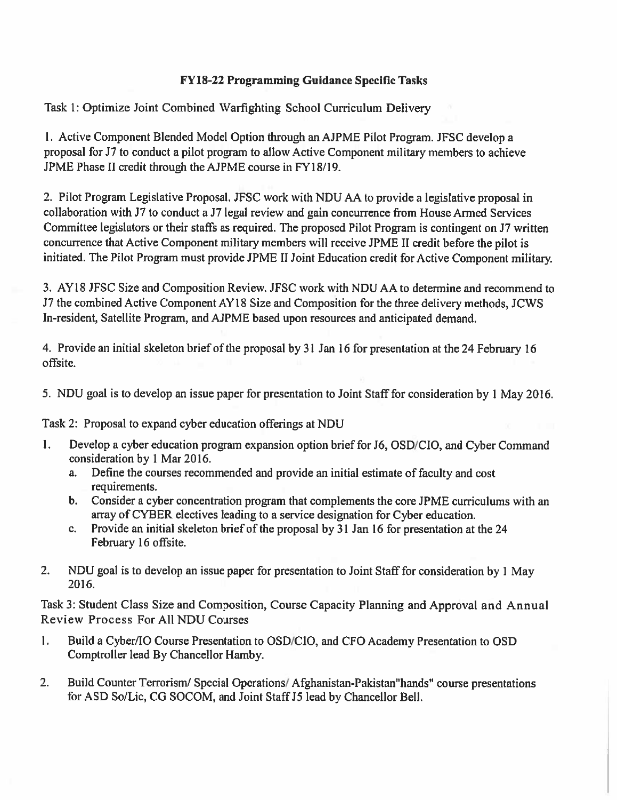## FY18-22 Programming Guidance Specific Tasks

Task I: Optimize Joint Combined Warfighting School Curriculum Delivery

1. Active Component Blended Model Option through an AJPME Pilot Program. JFSC develop a proposal for J7 to conduct a pilot program to allow Active Component military' members to achieve JPME Phase II credit through the AJPME course in FYI 8/19.

2. Pilot Program Legislative Proposal. JFSC work with NDU AA to provide a legislative proposal in collaboration with J7 to conduct a J7 legal review and gain concurrence from House Armed Services Committee legislators or their staffs as required. The proposed Pilot Program is contingent on J7 written concurrence that Active Component military members will receive JPME II credit before the pilot is initiated. The Pilot Program must provide JPME II Joint Education credit for Active Component military.

3. AYI8 JFSC Size and Composition Review. JFSC work with NDU AA to determine and recommend to J7 the combined Active Component AY18 Size and Composition for the three delivery methods, JCWS In-resident, Satellite Program, and AJPME based upon resources and anticipated demand.

4. Provide an initial skeleton brief of the proposal by <sup>31</sup> Jan 16 for presentation at the 24 February 16 offsite.

5. NDU goal is to develop an issue paper for presentation to Joint Staff for consideration by <sup>1</sup> May 2016.

Task 2: Proposal to expand cyber education offerings at NDU

- 1. Develop a cyber education program expansion option brief for J6, OSD/CIO, and Cyber Command consideration by <sup>1</sup> Mar2016.
	- a. Define the courses recommended and provide an initial estimate of faculty and cost requirements.
	- b. Consider <sup>a</sup> cyber concentration program that complements the core JPME curriculums with an array of CYBER electives leading to a service designation for Cyber education.
	- c. Provide an initial skeleton brief of the proposal by 31 Jan 16 for presentation at the 24 February 16 offsite.
- 2. NDU goal is to develop an issue paper for presentation to Joint Staff for consideration by <sup>I</sup> May 2016.

Task 3: Student Class Size and Composition, Course Capacity Planning and Approval and Annual Review Process For All NDU Courses

- 1. Build a Cyber/lO Course Presentation to OSD/CIO, and CFO Academy Presentation to OSD Comptroller lead By Chancellor Hamby.
- 2. Build Counter Terrorism/ Special Operations/ Afghanistan-Pakistan"hands" course presentations for ASD So/Lic, CG SOCOM, and Joint Staff J5 lead by Chancellor Bell.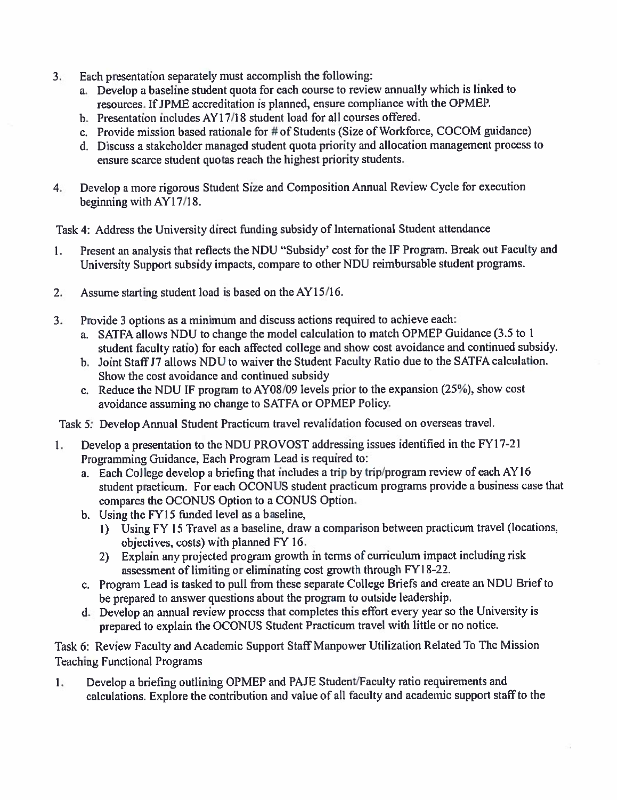- 3. Each presentation separately must accomplish the following:
	- a. Develop <sup>a</sup> baseline student quota for each course to review annually which is linked to resources. If JPME accreditation is planned, ensure compliance with the OPMEP.
	- b. Presentation includes AY 17/18 student load for all courses offered.
	- c. Provide mission based rationale for # of Students (Size of Workforce, COCOM guidance)
	- d. Discuss a stakeholder managed student quota priority and allocation management process to ensure scarce student quotas reach the highest priority students.
- 4. Develop <sup>a</sup> more rigorous Student Size and Composition Annual Review Cycle for execution beginning with AY17/18.

Task 4: Address the University direct finding subsidy of International Student attendance

- 1. Present an analysis that reflects the NDU "Subsidy' cost for the IF Program. Break out Faculty and University Support subsidy impacts, compare to other NDU reimbursable student programs.
- 2. Assume starting student load is based on the AYI5/16.
- 3. Provide <sup>3</sup> options as a minimum and discuss actions required to achieve each:
	- a. SATFA allows NDU to change the model calculation to match OPMEP Guidance (3.5 to <sup>I</sup> student faculty ratio) for each affected college and show cost avoidance and continued subsidy.
	- b. Joint Staff J7 allows NDU to waiver the Student Faculty Ratio due to the SATFA calculation. Show the cost avoidance and continued subsidy
	- c. Reduce the NDU IF program to AYO8/09 levels prior to the expansion (25%), show cost avoidance assuming no change to SATFA or OPMEP Policy.
- Task 5: Develop Annual Student Practicum travel revalidation focused on overseas travel.
- I. Develop <sup>a</sup> presentation to the NDU PROVOST addressing issues identified in the FYi 7-21 Programming Guidance, Each Program Lead is required to:
	- a. Each College develop a briefing that includes <sup>a</sup> trip by trip/program review of each AYI6 student practicum. For each OCONUS student practicum programs provide a business case that compares the OCONUS Option to a CONUS Option.
	- b. Using the FY15 finded level as a baseline,
		- 1) Using FY 15 Travel as a baseline, draw a comparison between practicum travel (locations, objectives, costs) with planned FY 16.
		- 2) Explain any projected program growth in terms of curriculum impact including risk assessment of limiting or eliminating cost growth through FYI 8-22.
	- c. Program Lead is tasked to pull from these separate College Briefs and create an NDU Briefto be prepared to answer questions about the program to outside leadership.
	- d. Develop an annual review process that completes this effort every year so the University is prepared to explain the OCONUS Student Practicum travel with little or no notice.

Task 6: Review Faculty and Academic Support Staff Manpower Utilization Related To The Mission Teaching Functional Programs

I. Develop a briefing outlining OPMEP and PAJE Student/Faculty ratio requirements and calculations. Explore the contribution and value of all faculty and academic support staff to the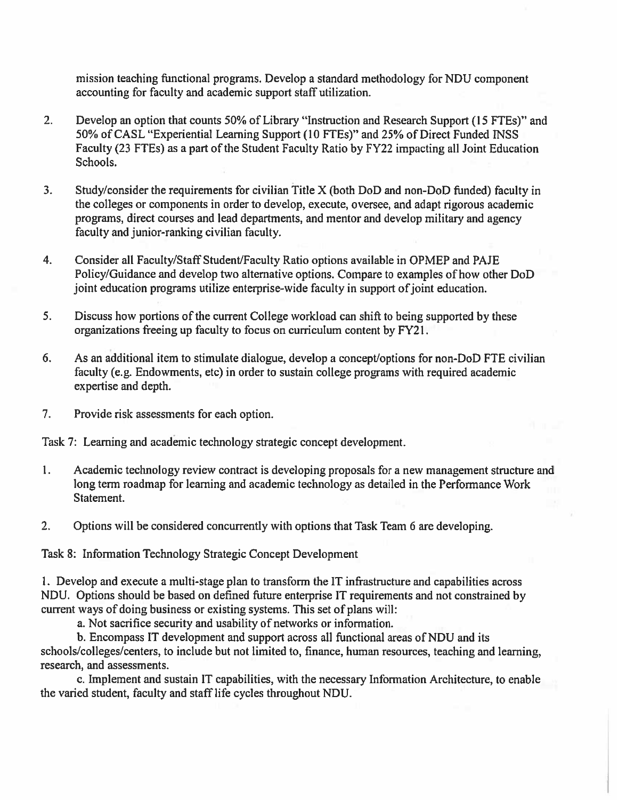mission teaching functional programs. Develop a standard methodology for NDU component accounting for faculty and academic support staff utilization.

- 2. Develop an option that counts 50% of Library "Instruction and Research Support (15 FTEs)" and 50% of CASL "Experiential Learning Support (10 FTEs)" and 25% of Direct Funded INSS Faculty (23 FTEs) as a part of the Student Faculty Ratio by FY22 impacting all Joint Education Schools.
- 3. Study/consider the requirements for civilian Title X (both DoD and non-DoD funded) faculty in the colleges or components in order to develop, execute, oversee, and adapt rigorous academic programs, direct courses and lead departments, and mentor and develop military and agency faculty and junior-ranking civilian faculty.
- 4. Consider all Faculty/Staff Student/Faculty Ratio options available in OPMEP and PAJE Policy/Guidance and develop two alternative options. Compare to examples of how other DoD joint education programs utilize enterprise-wide faculty in support of joint education.
- 5. Discuss how portions of the current College workload can shifl to being supported by these organizations freeing up faculty to focus on curriculum content by FY21.
- 6. As an additional item to stimulate dialogue, develop a concept/options for non-DoD FTE civilian faculty (e.g. Endowments, etc) in order to sustain college programs with required academic expertise and depth.
- 7. Provide risk assessments for each option.

Task 7: Learning and academic technology strategic concept development.

- 1. Academic technology review contract is developing proposals for a new management structure and long term roadmap for learning and academic technology as detailed in the Performance Work Statement.
- 2. Options will be considered concurrently with options that Task Team 6 are developing.

Task 8: Information Technology Strategic Concept Development

I. Develop and execute a multi-stage plan to transform the IT infrastructure and capabilities across NDU. Options should be based on defined future enterprise IT requirements and not constrained by current ways of doing business or existing systems. This set of plans will:

a. Not sacrifice security and usability of networks or information.

b. Encompass IT development and support across all functional areas of NDU and its schools/colleges/centers, to include but not limited to, finance, human resources, teaching and learning, research, and assessments.

c. Implement and sustain IT capabilities, with the necessary Information Architecture, to enable the varied student, faculty and staff life cycles throughout NDU.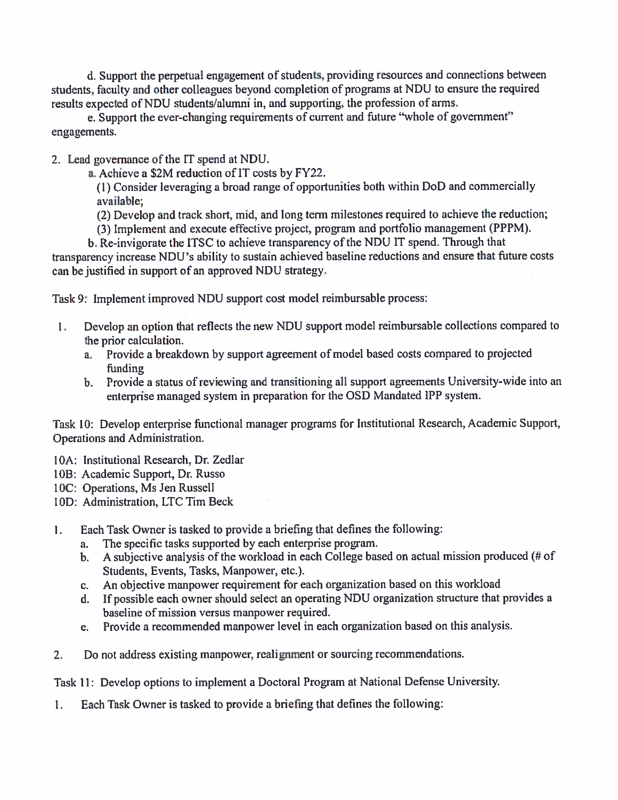d. Support the perpetual engagement of students, providing resources and connections between students, faculty and other colleagues beyond completion of programs at NDU to ensure the required results expected of NDU students/alumni in, and supporting, the profession of arms.

e. Support the ever-changing requirements of current and future "whole of government" engagements.

2. Lead governance of the IT spend at NDU.

a. Achieve a S2M reduction of IT costs by FY22.

(I) Consider leveraging a broad range of opportunities both within DoD and commercially available;

(2) Develop and track short, mid, and long term milestones required to achieve the reduction;

(3) Implement and execute effective project, program and portfolio management (PPPM).

b. Re-invigorate the ITSC to achieve transparency of the NDU IT spend. Through that transparency increase NDU's ability to sustain achieved baseline reductions and ensure that future costs can be justified in support of an approved NDU strategy.

Task 9: Implement improved NDU support cost model reimbursable process:

- I. Develop an option that reflects the new NDU support model reimbursable collections compared to the prior calculation.
	- a. Provide a breakdown by support agreement of model based costs compared to projected funding
	- b. Provide a status of reviewing and transitioning all support agreements University-wide into an enterprise managed system in preparation for the OSD Mandated IPP system.

Task 10: Develop enterprise functional manager programs for Institutional Research, Academic Support, Operations and Administration.

- IOA: Institutional Research, Dr. Zedlar
- 108: Academic Support, Dr. Russo
- 10C: Operations, Ms Jen Russell
- 10D: Administration, LTC Tim Beck
- 1. Each Task Owner is tasked to provide a briefing that defines the following:
	- a. The specific tasks supported by each enterprise program.
	- b. A subjective analysis of the workload in each College based on actual mission produced (# of Students, Events, Tasks, Manpower, etc.).
	- c. An objective manpower requirement for each organization based on this workload
	- d. If possible each owner should select an operating NDU organization structure that provides a baseline of mission versus manpower required.
	- e. Provide a recommended manpower level in each organization based on this analysis.
- 2. Do not address existing manpower, realignment or sourcing recommendations.

Task 11: Develop options to implement a Doctoral Program at National Defense University.

I. Each Task Owner is tasked to provide a briefing that defines the following: